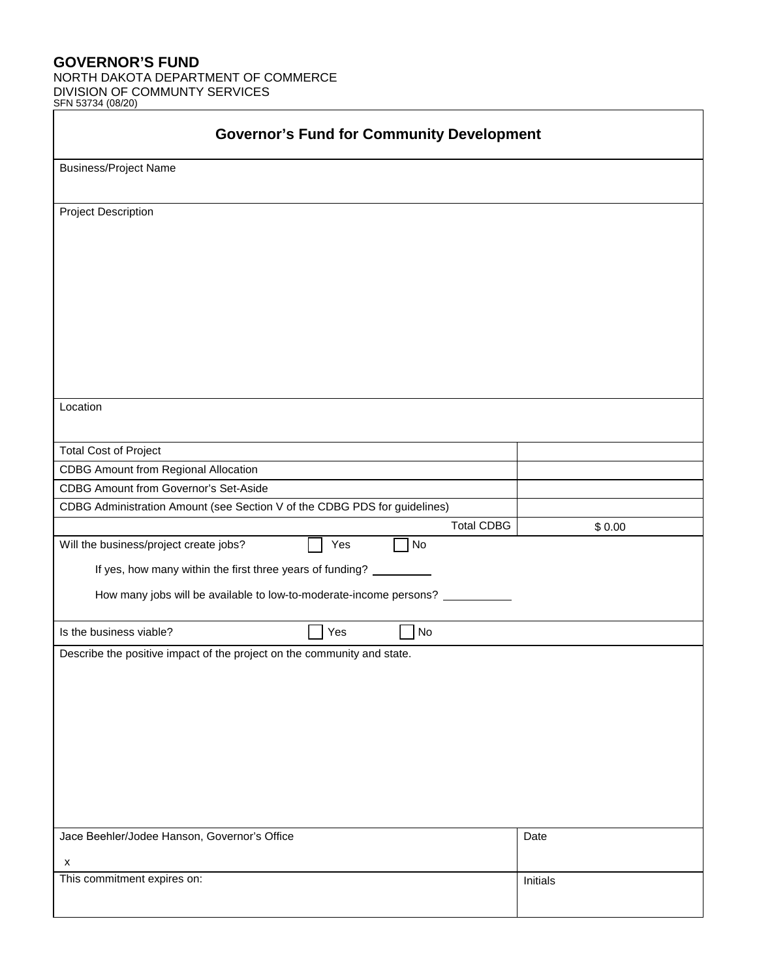## **GOVERNOR'S FUND**

NORTH DAKOTA DEPARTMENT OF COMMERCE DIVISION OF COMMUNTY SERVICES

| SFN 53734 (08/20) |  |
|-------------------|--|
|                   |  |

| <b>Governor's Fund for Community Development</b>                          |                   |          |  |  |  |
|---------------------------------------------------------------------------|-------------------|----------|--|--|--|
| <b>Business/Project Name</b>                                              |                   |          |  |  |  |
|                                                                           |                   |          |  |  |  |
| Project Description                                                       |                   |          |  |  |  |
|                                                                           |                   |          |  |  |  |
|                                                                           |                   |          |  |  |  |
|                                                                           |                   |          |  |  |  |
|                                                                           |                   |          |  |  |  |
|                                                                           |                   |          |  |  |  |
|                                                                           |                   |          |  |  |  |
|                                                                           |                   |          |  |  |  |
|                                                                           |                   |          |  |  |  |
|                                                                           |                   |          |  |  |  |
| Location                                                                  |                   |          |  |  |  |
|                                                                           |                   |          |  |  |  |
| <b>Total Cost of Project</b>                                              |                   |          |  |  |  |
| <b>CDBG Amount from Regional Allocation</b>                               |                   |          |  |  |  |
| <b>CDBG Amount from Governor's Set-Aside</b>                              |                   |          |  |  |  |
| CDBG Administration Amount (see Section V of the CDBG PDS for guidelines) |                   |          |  |  |  |
|                                                                           | <b>Total CDBG</b> | \$0.00   |  |  |  |
| Yes<br>Will the business/project create jobs?                             | No                |          |  |  |  |
| If yes, how many within the first three years of funding? _               |                   |          |  |  |  |
|                                                                           |                   |          |  |  |  |
| How many jobs will be available to low-to-moderate-income persons?        |                   |          |  |  |  |
| Yes<br>Is the business viable?                                            | <b>No</b>         |          |  |  |  |
| Describe the positive impact of the project on the community and state.   |                   |          |  |  |  |
|                                                                           |                   |          |  |  |  |
|                                                                           |                   |          |  |  |  |
|                                                                           |                   |          |  |  |  |
|                                                                           |                   |          |  |  |  |
|                                                                           |                   |          |  |  |  |
|                                                                           |                   |          |  |  |  |
|                                                                           |                   |          |  |  |  |
|                                                                           |                   |          |  |  |  |
|                                                                           |                   |          |  |  |  |
| Jace Beehler/Jodee Hanson, Governor's Office                              |                   | Date     |  |  |  |
| $\boldsymbol{\mathsf{x}}$                                                 |                   |          |  |  |  |
| This commitment expires on:                                               |                   | Initials |  |  |  |
|                                                                           |                   |          |  |  |  |